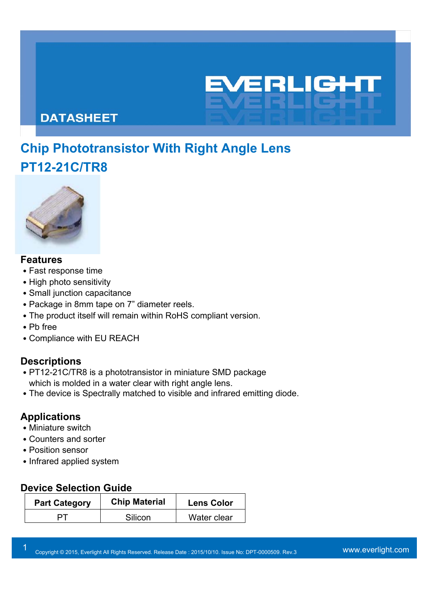## **DATASHEET**

# **Chip Phototransistor With Right Angle Lens PT12-21C/TR8**

EVERLIGH

CHI



### **Features**

- Fast response time
- High photo sensitivity
- Small junction capacitance
- Package in 8mm tape on 7" diameter reels.
- The product itself will remain within RoHS compliant version.
- ․Pb free
- Compliance with EU REACH

### **Descriptions**

- PT12-21C/TR8 is a phototransistor in miniature SMD package which is molded in a water clear with right angle lens.
- The device is Spectrally matched to visible and infrared emitting diode.

### **Applications**

- Miniature switch
- ․Counters and sorter
- Position sensor
- Infrared applied system

### **Device Selection Guide**

| <b>Part Category</b> | <b>Chip Material</b> | <b>Lens Color</b> |
|----------------------|----------------------|-------------------|
|                      | Silicon              | Water clear       |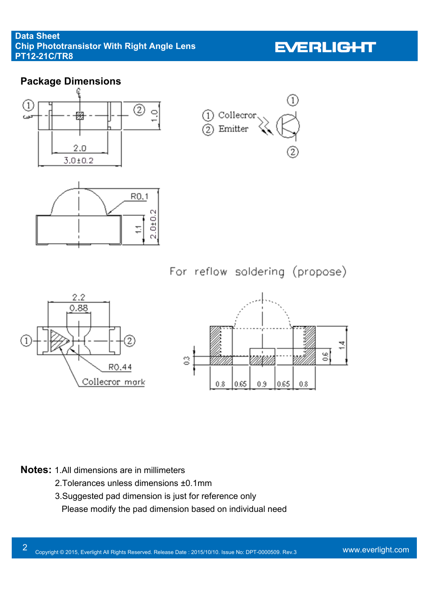

#### **Notes:** 1.All dimensions are in millimeters

- 2.Tolerances unless dimensions ±0.1mm
- 3.Suggested pad dimension is just for reference only .Please modify the pad dimension based on individual need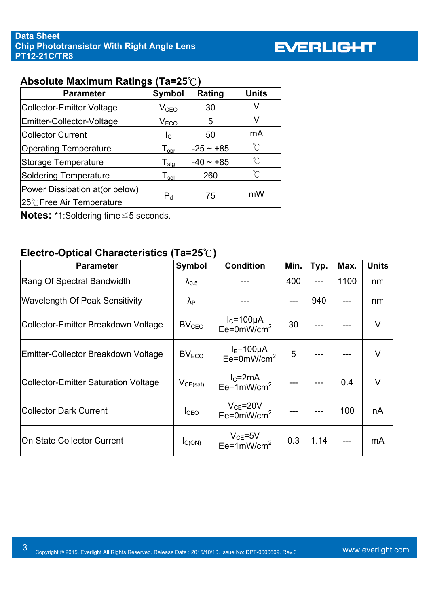# **EVERLIGHT**

# **Absolute Maximum Ratings (Ta=25**℃**)**

| <b>Parameter</b>                                             | <b>Symbol</b>                | Rating      | <b>Units</b>        |
|--------------------------------------------------------------|------------------------------|-------------|---------------------|
| Collector-Emitter Voltage                                    | V <sub>CEO</sub>             | 30          | V                   |
| Emitter-Collector-Voltage                                    | V <sub>ECO</sub>             | 5           | v                   |
| <b>Collector Current</b>                                     | l <sub>C</sub>               | 50          | mA                  |
| <b>Operating Temperature</b>                                 | $T_{\mathsf{opr}}$           | $-25 - 85$  | °C                  |
| Storage Temperature                                          | ${\mathsf T}_{\textsf{stg}}$ | $-40 - +85$ | $\int_{0}^{\infty}$ |
| <b>Soldering Temperature</b>                                 | ${\mathsf T}_{\sf sol}$      | 260         | $^{\circ}C$         |
| Power Dissipation at (or below)<br>25°C Free Air Temperature | $P_{d}$                      | 75          | mW                  |

**Notes:** \*1:Soldering time≦5 seconds.

### **Electro-Optical Characteristics (Ta=25**℃**)**

| Electro-Optical Characteristics (Ta=25 $\degree$ C) |                         |                                               |      |      |      |              |  |
|-----------------------------------------------------|-------------------------|-----------------------------------------------|------|------|------|--------------|--|
| <b>Parameter</b>                                    | <b>Symbol</b>           | <b>Condition</b>                              | Min. | Typ. | Max. | <b>Units</b> |  |
| Rang Of Spectral Bandwidth                          | $\lambda_{0.5}$         |                                               | 400  |      | 1100 | nm           |  |
| <b>Wavelength Of Peak Sensitivity</b>               | $\lambda_{\text{P}}$    |                                               |      | 940  |      | nm           |  |
| Collector-Emitter Breakdown Voltage                 | <b>BV<sub>CEO</sub></b> | $I_c = 100 \mu A$<br>Ee=0mW/cm <sup>2</sup>   | 30   |      |      | V            |  |
| Emitter-Collector Breakdown Voltage                 | BV <sub>ECO</sub>       | $I_E=100\mu A$<br>Ee=0mW/cm <sup>2</sup>      | 5    |      |      | V            |  |
| <b>Collector-Emitter Saturation Voltage</b>         | $V_{CE(sat)}$           | $IC=2mA$<br>$Ee=1mW/cm2$                      |      |      | 0.4  | $\vee$       |  |
| <b>Collector Dark Current</b>                       | I <sub>CEO</sub>        | $V_{CE} = 20V$<br>$Ee = 0$ mW/cm <sup>2</sup> |      |      | 100  | nA           |  |
| <b>On State Collector Current</b>                   | $I_{C(ON)}$             | $V_{CE}$ =5V<br>Ee=1mW/cm <sup>2</sup>        | 0.3  | 1.14 |      | mA           |  |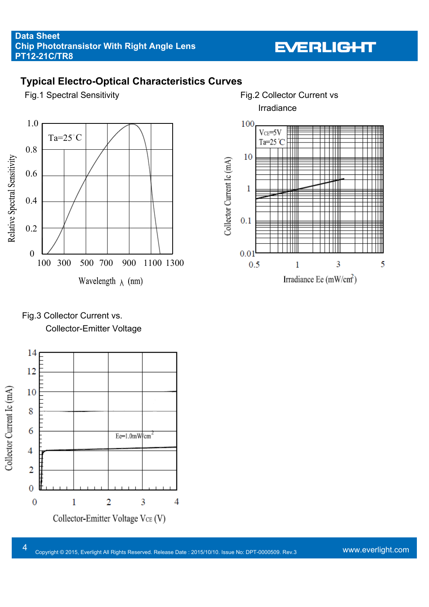# **EVERLIGHT**

## **Typical Electro-Optical Characteristics Curves**



Irradiance



4 Copyright © 2015, Everlight All Rights Reserved. Release Date : 2015/10/10. Issue No: DPT-0000509. Rev.3 WWW.everlight.com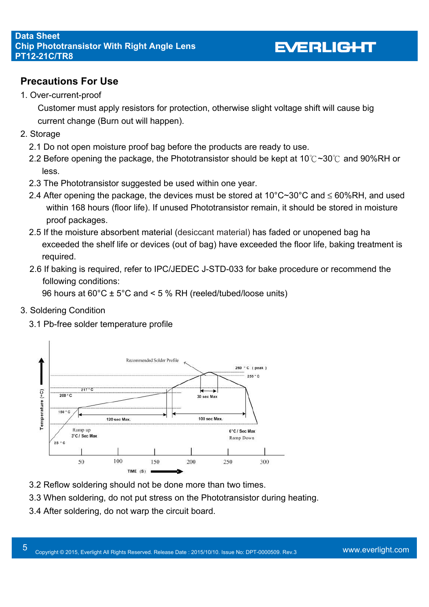## **Precautions For Use**

1. Over-current-proof

Customer must apply resistors for protection, otherwise slight voltage shift will cause big current change (Burn out will happen).

- 2. Storage
	- 2.1 Do not open moisture proof bag before the products are ready to use.
	- 2.2 Before opening the package, the Phototransistor should be kept at 10℃~30℃ and 90%RH or less.
	- 2.3 The Phototransistor suggested be used within one year.
	- 2.4 After opening the package, the devices must be stored at  $10^{\circ}$ C~30°C and  $\leq 60\%$ RH, and used within 168 hours (floor life). If unused Phototransistor remain, it should be stored in moisture proof packages.
	- 2.5 If the moisture absorbent material (desiccant material) has faded or unopened bag ha exceeded the shelf life or devices (out of bag) have exceeded the floor life, baking treatment is required.
	- 2.6 If baking is required, refer to IPC/JEDEC J-STD-033 for bake procedure or recommend the following conditions:

96 hours at  $60^{\circ}$ C  $\pm$  5°C and < 5 % RH (reeled/tubed/loose units)

- 3. Soldering Condition
	- 3.1 Pb-free solder temperature profile



- 3.2 Reflow soldering should not be done more than two times.
- 3.3 When soldering, do not put stress on the Phototransistor during heating.
- 3.4 After soldering, do not warp the circuit board.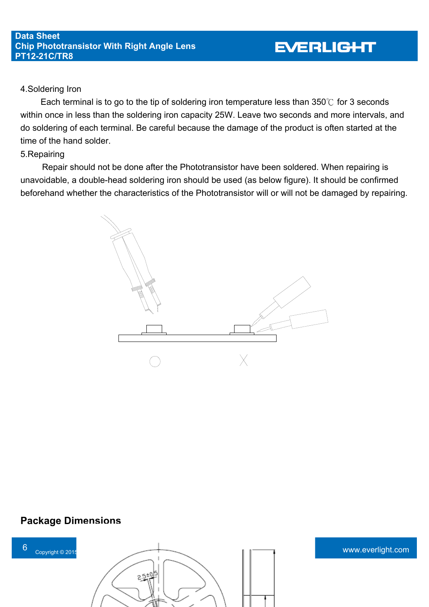#### 4.Soldering Iron

Each terminal is to go to the tip of soldering iron temperature less than 350℃ for 3 seconds within once in less than the soldering iron capacity 25W. Leave two seconds and more intervals, and do soldering of each terminal. Be careful because the damage of the product is often started at the time of the hand solder.

#### 5.Repairing

 Repair should not be done after the Phototransistor have been soldered. When repairing is unavoidable, a double-head soldering iron should be used (as below figure). It should be confirmed beforehand whether the characteristics of the Phototransistor will or will not be damaged by repairing.



### **Package Dimensions**

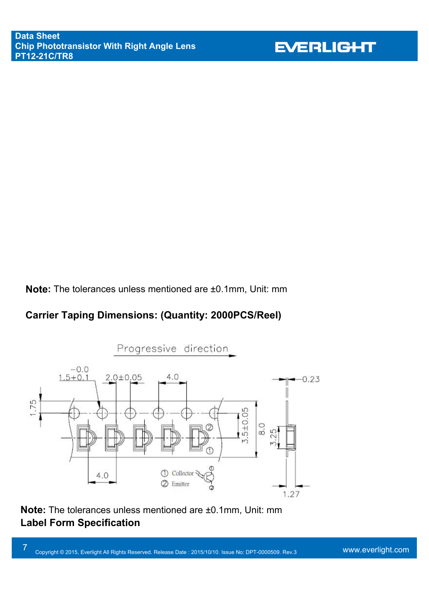**Note:** The tolerances unless mentioned are ±0.1mm, Unit: mm

# **Carrier Taping Dimensions: (Quantity: 2000PCS/Reel)**



**Note:** The tolerances unless mentioned are ±0.1mm, Unit: mm **Label Form Specification** 

7 Copyright © 2015, Everlight All Rights Reserved. Release Date : 2015/10/10. Issue No: DPT-0000509. Rev.3 WWW.everlight.com